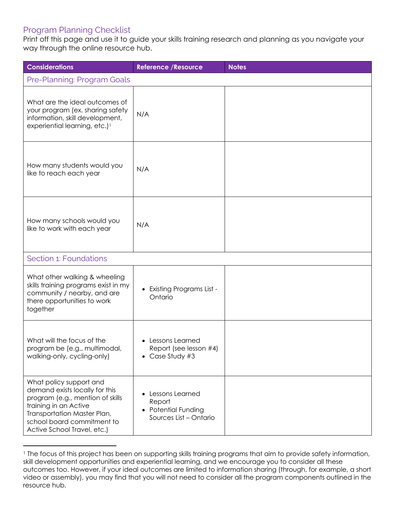## Program Planning Checklist

Print off this page and use it to guide your skills training research and planning as you navigate your way through the online resource hub.

| <b>Considerations</b>                                                                                                                                                                                              | <b>Reference / Resource</b>                                                     | <b>Notes</b> |  |  |
|--------------------------------------------------------------------------------------------------------------------------------------------------------------------------------------------------------------------|---------------------------------------------------------------------------------|--------------|--|--|
| Pre-Planning: Program Goals                                                                                                                                                                                        |                                                                                 |              |  |  |
| What are the ideal outcomes of<br>your program (ex. sharing safety<br>information, skill development,<br>experiential learning, etc.) <sup>1</sup>                                                                 | N/A                                                                             |              |  |  |
| How many students would you<br>like to reach each year                                                                                                                                                             | N/A                                                                             |              |  |  |
| How many schools would you<br>like to work with each year                                                                                                                                                          | N/A                                                                             |              |  |  |
| Section 1: Foundations                                                                                                                                                                                             |                                                                                 |              |  |  |
| What other walking & wheeling<br>skills training programs exist in my<br>community / nearby, and are<br>there opportunities to work<br>together                                                                    | <b>Existing Programs List -</b><br>Ontario                                      |              |  |  |
| What will the focus of the<br>program be (e.g., multimodal,<br>walking-only, cycling-only)                                                                                                                         | Lessons Learned<br>Report (see lesson #4)<br>• Case Study #3                    |              |  |  |
| What policy support and<br>demand exists locally for this<br>program (e.g., mention of skills<br>training in an Active<br>Transportation Master Plan,<br>school board commitment to<br>Active School Travel, etc.) | Lessons Learned<br>Report<br><b>Potential Funding</b><br>Sources List - Ontario |              |  |  |

<sup>&</sup>lt;sup>1</sup> The focus of this project has been on supporting skills training programs that aim to provide safety information, skill development opportunities and experiential learning, and we encourage you to consider all these outcomes too. However, if your ideal outcomes are limited to information sharing (through, for example, a short video or assembly), you may find that you will not need to consider all the program components outlined in the resource hub.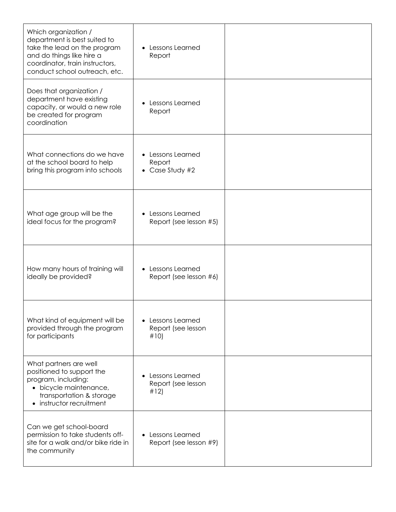| Which organization /<br>department is best suited to<br>take the lead on the program<br>and do things like hire a<br>coordinator, train instructors,<br>conduct school outreach, etc. | Lessons Learned<br>Report                            |  |
|---------------------------------------------------------------------------------------------------------------------------------------------------------------------------------------|------------------------------------------------------|--|
| Does that organization /<br>department have existing<br>capacity, or would a new role<br>be created for program<br>coordination                                                       | Lessons Learned<br>Report                            |  |
| What connections do we have<br>at the school board to help<br>bring this program into schools                                                                                         | Lessons Learned<br>Report<br>$\bullet$ Case Study #2 |  |
| What age group will be the<br>ideal focus for the program?                                                                                                                            | Lessons Learned<br>Report (see lesson #5)            |  |
| How many hours of training will<br>ideally be provided?                                                                                                                               | Lessons Learned<br>Report (see lesson #6)            |  |
| What kind of equipment will be<br>provided through the program<br>for participants                                                                                                    | Lessons Learned<br>Report (see lesson<br>#10)        |  |
| What partners are well<br>positioned to support the<br>program, including:<br>· bicycle maintenance,<br>transportation & storage<br>• instructor recruitment                          | Lessons Learned<br>Report (see lesson<br>#12)        |  |
| Can we get school-board<br>permission to take students off-<br>site for a walk and/or bike ride in<br>the community                                                                   | Lessons Learned<br>Report (see lesson #9)            |  |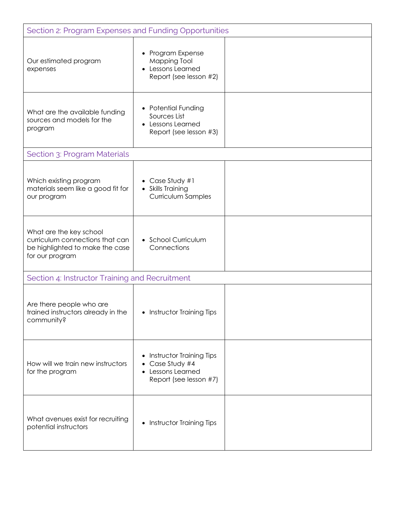| Section 2: Program Expenses and Funding Opportunities                                                            |                                                                                        |  |  |  |
|------------------------------------------------------------------------------------------------------------------|----------------------------------------------------------------------------------------|--|--|--|
| Our estimated program<br>expenses                                                                                | • Program Expense<br>Mapping Tool<br>Lessons Learned<br>Report (see lesson #2)         |  |  |  |
| What are the available funding<br>sources and models for the<br>program                                          | • Potential Funding<br>Sources List<br>Lessons Learned<br>Report (see lesson #3)       |  |  |  |
| Section 3: Program Materials                                                                                     |                                                                                        |  |  |  |
| Which existing program<br>materials seem like a good fit for<br>our program                                      | • Case Study #1<br>• Skills Training<br>Curriculum Samples                             |  |  |  |
| What are the key school<br>curriculum connections that can<br>be highlighted to make the case<br>for our program | • School Curriculum<br>Connections                                                     |  |  |  |
| Section 4: Instructor Training and Recruitment                                                                   |                                                                                        |  |  |  |
| Are there people who are<br>trained instructors already in the<br>community?                                     | • Instructor Training Tips                                                             |  |  |  |
| How will we train new instructors<br>for the program                                                             | Instructor Training Tips<br>Case Study #4<br>Lessons Learned<br>Report (see lesson #7) |  |  |  |
| What avenues exist for recruiting<br>potential instructors                                                       | Instructor Training Tips<br>$\bullet$                                                  |  |  |  |